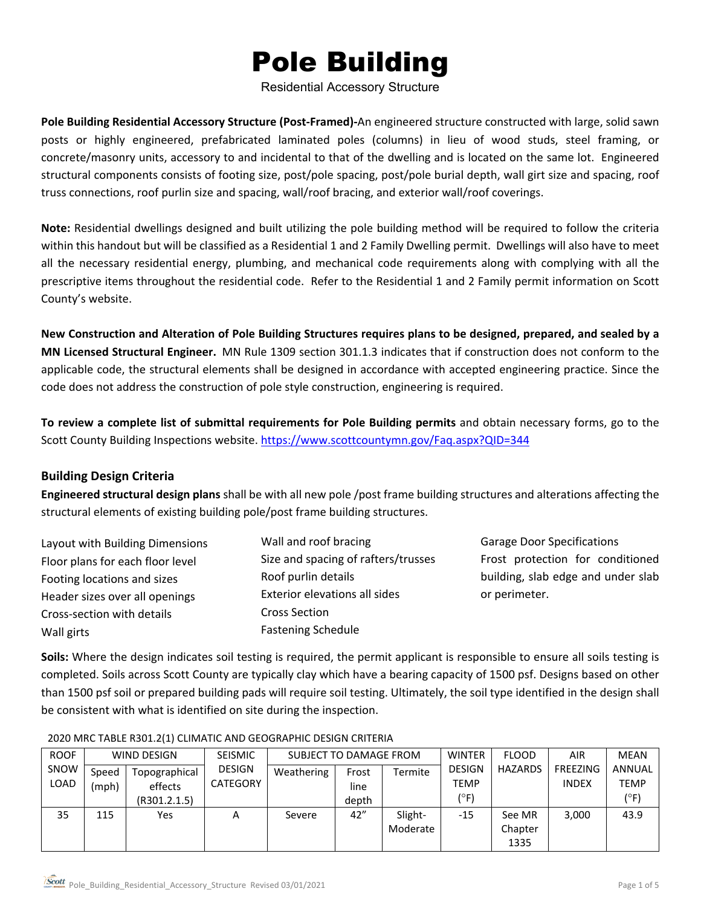# Pole Building

Residential Accessory Structure

**Pole Building Residential Accessory Structure (Post-Framed)-**An engineered structure constructed with large, solid sawn posts or highly engineered, prefabricated laminated poles (columns) in lieu of wood studs, steel framing, or concrete/masonry units, accessory to and incidental to that of the dwelling and is located on the same lot. Engineered structural components consists of footing size, post/pole spacing, post/pole burial depth, wall girt size and spacing, roof truss connections, roof purlin size and spacing, wall/roof bracing, and exterior wall/roof coverings.

**Note:** Residential dwellings designed and built utilizing the pole building method will be required to follow the criteria within this handout but will be classified as a Residential 1 and 2 Family Dwelling permit. Dwellings will also have to meet all the necessary residential energy, plumbing, and mechanical code requirements along with complying with all the prescriptive items throughout the residential code. Refer to the Residential 1 and 2 Family permit information on Scott County's website.

**New Construction and Alteration of Pole Building Structures requires plans to be designed, prepared, and sealed by a MN Licensed Structural Engineer.** MN Rule 1309 section 301.1.3 indicates that if construction does not conform to the applicable code, the structural elements shall be designed in accordance with accepted engineering practice. Since the code does not address the construction of pole style construction, engineering is required.

**To review a complete list of submittal requirements for Pole Building permits** and obtain necessary forms, go to the Scott County Building Inspections website. <https://www.scottcountymn.gov/Faq.aspx?QID=344>

#### **Building Design Criteria**

**Engineered structural design plans** shall be with all new pole /post frame building structures and alterations affecting the structural elements of existing building pole/post frame building structures.

| Layout with Building Dimensions  | Wall and roof bracing               |
|----------------------------------|-------------------------------------|
| Floor plans for each floor level | Size and spacing of rafters/trusses |
| Footing locations and sizes      | Roof purlin details                 |
| Header sizes over all openings   | Exterior elevations all sides       |
| Cross-section with details       | <b>Cross Section</b>                |
| Wall girts                       | <b>Fastening Schedule</b>           |

Garage Door Specifications Frost protection for conditioned building, slab edge and under slab or perimeter.

**Soils:** Where the design indicates soil testing is required, the permit applicant is responsible to ensure all soils testing is completed. Soils across Scott County are typically clay which have a bearing capacity of 1500 psf. Designs based on other than 1500 psf soil or prepared building pads will require soil testing. Ultimately, the soil type identified in the design shall be consistent with what is identified on site during the inspection.

| <b>ROOF</b> | WIND DESIGN |               | <b>SEISMIC</b>  | SUBJECT TO DAMAGE FROM |       |          | <b>WINTER</b> | <b>FLOOD</b>   | <b>AIR</b>   | <b>MEAN</b>   |
|-------------|-------------|---------------|-----------------|------------------------|-------|----------|---------------|----------------|--------------|---------------|
| SNOW        | Speed       | Topographical | <b>DESIGN</b>   | Weathering             | Frost | Termite  | <b>DESIGN</b> | <b>HAZARDS</b> | FREEZING     | <b>ANNUAL</b> |
| LOAD        | (mph)       | effects       | <b>CATEGORY</b> |                        | line  |          | <b>TEMP</b>   |                | <b>INDEX</b> | TEMP          |
|             |             | (R301.2.1.5)  |                 |                        | depth |          | (°F)          |                |              | (°F)          |
| 35          | 115         | Yes           | Α               | Severe                 | 42"   | Slight-  | $-15$         | See MR         | 3,000        | 43.9          |
|             |             |               |                 |                        |       | Moderate |               | Chapter        |              |               |
|             |             |               |                 |                        |       |          |               | 1335           |              |               |

#### 2020 MRC TABLE R301.2(1) CLIMATIC AND GEOGRAPHIC DESIGN CRITERIA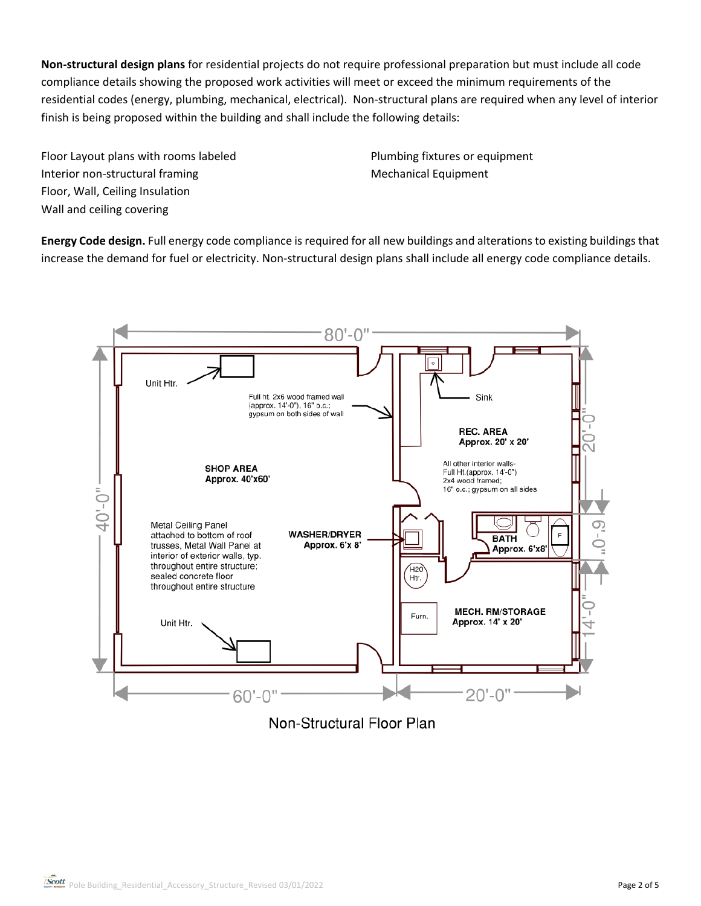**Non-structural design plans** for residential projects do not require professional preparation but must include all code compliance details showing the proposed work activities will meet or exceed the minimum requirements of the residential codes (energy, plumbing, mechanical, electrical). Non-structural plans are required when any level of interior finish is being proposed within the building and shall include the following details:

Floor Layout plans with rooms labeled Interior non-structural framing Floor, Wall, Ceiling Insulation Wall and ceiling covering

Plumbing fixtures or equipment Mechanical Equipment

**Energy Code design.** Full energy code compliance is required for all new buildings and alterations to existing buildings that increase the demand for fuel or electricity. Non-structural design plans shall include all energy code compliance details.



Non-Structural Floor Plan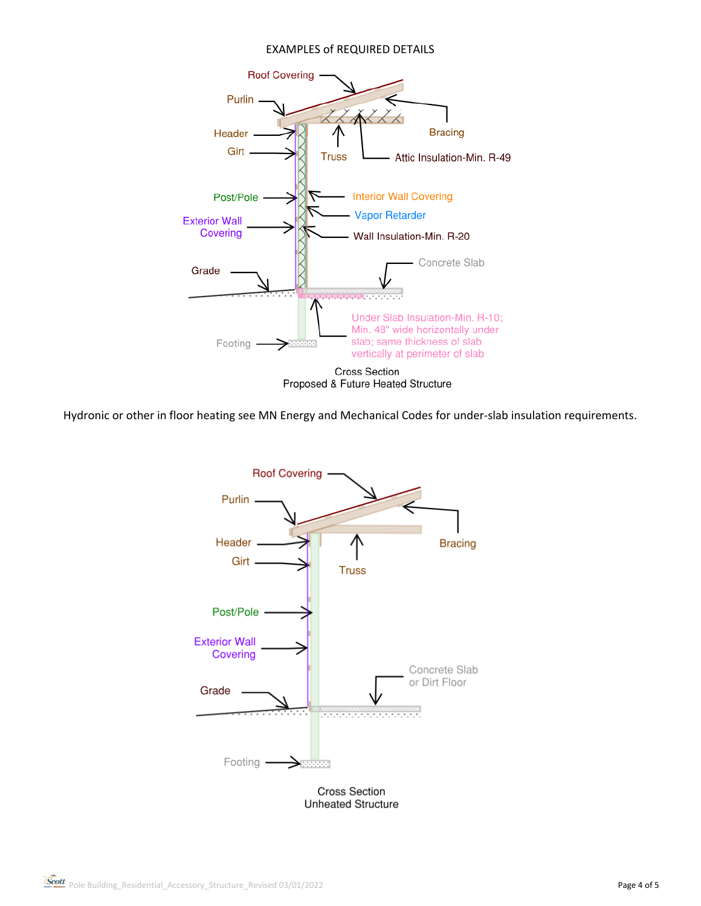#### EXAMPLES of REQUIRED DETAILS



Hydronic or other in floor heating see MN Energy and Mechanical Codes for under-slab insulation requirements.